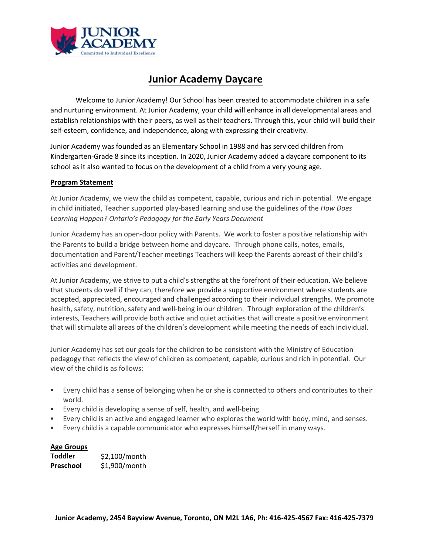

# **Junior Academy Daycare**

Welcome to Junior Academy! Our School has been created to accommodate children in a safe and nurturing environment. At Junior Academy, your child will enhance in all developmental areas and establish relationships with their peers, as well as their teachers. Through this, your child will build their self-esteem, confidence, and independence, along with expressing their creativity.

Junior Academy was founded as an Elementary School in 1988 and has serviced children from Kindergarten-Grade 8 since its inception. In 2020, Junior Academy added a daycare component to its school as it also wanted to focus on the development of a child from a very young age.

#### **Program Statement**

At Junior Academy, we view the child as competent, capable, curious and rich in potential. We engage in child initiated, Teacher supported play-based learning and use the guidelines of the *How Does Learning Happen? Ontario's Pedagogy for the Early Years Document*

Junior Academy has an open-door policy with Parents. We work to foster a positive relationship with the Parents to build a bridge between home and daycare. Through phone calls, notes, emails, documentation and Parent/Teacher meetings Teachers will keep the Parents abreast of their child's activities and development.

At Junior Academy, we strive to put a child's strengths at the forefront of their education. We believe that students do well if they can, therefore we provide a supportive environment where students are accepted, appreciated, encouraged and challenged according to their individual strengths. We promote health, safety, nutrition, safety and well-being in our children. Through exploration of the children's interests, Teachers will provide both active and quiet activities that will create a positive environment that will stimulate all areas of the children's development while meeting the needs of each individual.

Junior Academy has set our goals for the children to be consistent with the Ministry of Education pedagogy that reflects the view of children as competent, capable, curious and rich in potential. Our view of the child is as follows:

- Every child has a sense of belonging when he or she is connected to others and contributes to their world.
- Every child is developing a sense of self, health, and well-being.
- Every child is an active and engaged learner who explores the world with body, mind, and senses.
- Every child is a capable communicator who expresses himself/herself in many ways.

# **Age Groups**

**Toddler Preschool** \$2,100/month \$1,900/month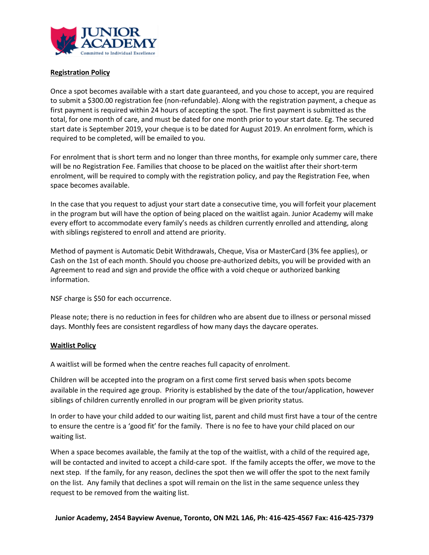

# **Registration Policy**

Once a spot becomes available with a start date guaranteed, and you chose to accept, you are required to submit a \$300.00 registration fee (non-refundable). Along with the registration payment, a cheque as first payment is required within 24 hours of accepting the spot. The first payment is submitted as the total, for one month of care, and must be dated for one month prior to your start date. Eg. The secured start date is September 2019, your cheque is to be dated for August 2019. An enrolment form, which is required to be completed, will be emailed to you.

For enrolment that is short term and no longer than three months, for example only summer care, there will be no Registration Fee. Families that choose to be placed on the waitlist after their short-term enrolment, will be required to comply with the registration policy, and pay the Registration Fee, when space becomes available.

In the case that you request to adjust your start date a consecutive time, you will forfeit your placement in the program but will have the option of being placed on the waitlist again. Junior Academy will make every effort to accommodate every family's needs as children currently enrolled and attending, along with siblings registered to enroll and attend are priority.

Method of payment is Automatic Debit Withdrawals, Cheque, Visa or MasterCard (3% fee applies), or Cash on the 1st of each month. Should you choose pre-authorized debits, you will be provided with an Agreement to read and sign and provide the office with a void cheque or authorized banking information.

NSF charge is \$50 for each occurrence.

Please note; there is no reduction in fees for children who are absent due to illness or personal missed days. Monthly fees are consistent regardless of how many days the daycare operates.

#### **Waitlist Policy**

A waitlist will be formed when the centre reaches full capacity of enrolment.

Children will be accepted into the program on a first come first served basis when spots become available in the required age group. Priority is established by the date of the tour/application, however siblings of children currently enrolled in our program will be given priority status.

In order to have your child added to our waiting list, parent and child must first have a tour of the centre to ensure the centre is a 'good fit' for the family. There is no fee to have your child placed on our waiting list.

When a space becomes available, the family at the top of the waitlist, with a child of the required age, will be contacted and invited to accept a child-care spot. If the family accepts the offer, we move to the next step. If the family, for any reason, declines the spot then we will offer the spot to the next family on the list. Any family that declines a spot will remain on the list in the same sequence unless they request to be removed from the waiting list.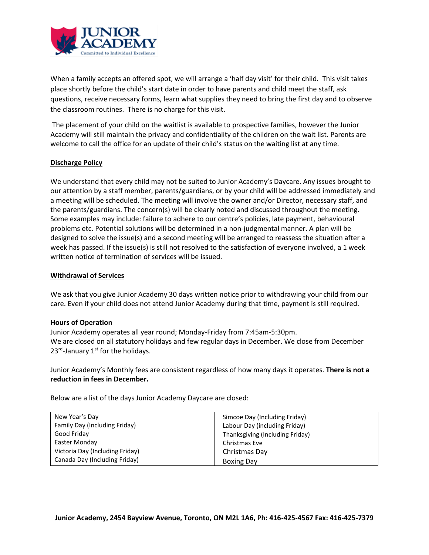

When a family accepts an offered spot, we will arrange a 'half day visit' for their child. This visit takes place shortly before the child's start date in order to have parents and child meet the staff, ask questions, receive necessary forms, learn what supplies they need to bring the first day and to observe the classroom routines. There is no charge for this visit.

The placement of your child on the waitlist is available to prospective families, however the Junior Academy will still maintain the privacy and confidentiality of the children on the wait list. Parents are welcome to call the office for an update of their child's status on the waiting list at any time.

# **Discharge Policy**

We understand that every child may not be suited to Junior Academy's Daycare. Any issues brought to our attention by a staff member, parents/guardians, or by your child will be addressed immediately and a meeting will be scheduled. The meeting will involve the owner and/or Director, necessary staff, and the parents/guardians. The concern(s) will be clearly noted and discussed throughout the meeting. Some examples may include: failure to adhere to our centre's policies, late payment, behavioural problems etc. Potential solutions will be determined in a non-judgmental manner. A plan will be designed to solve the issue(s) and a second meeting will be arranged to reassess the situation after a week has passed. If the issue(s) is still not resolved to the satisfaction of everyone involved, a 1 week written notice of termination of services will be issued.

#### **Withdrawal of Services**

We ask that you give Junior Academy 30 days written notice prior to withdrawing your child from our care. Even if your child does not attend Junior Academy during that time, payment is still required.

#### **Hours of Operation**

Junior Academy operates all year round; Monday-Friday from 7:45am-5:30pm. We are closed on all statutory holidays and few regular days in December. We close from December  $23<sup>rd</sup>$ -January  $1<sup>st</sup>$  for the holidays.

Junior Academy's Monthly fees are consistent regardless of how many days it operates. **There is not a reduction in fees in December.**

Below are a list of the days Junior Academy Daycare are closed:

| New Year's Day                  | Simcoe Day (Including Friday)   |
|---------------------------------|---------------------------------|
| Family Day (Including Friday)   | Labour Day (including Friday)   |
| Good Friday                     | Thanksgiving (Including Friday) |
| Easter Monday                   | Christmas Eve                   |
| Victoria Day (Including Friday) | Christmas Day                   |
| Canada Day (Including Friday)   | <b>Boxing Day</b>               |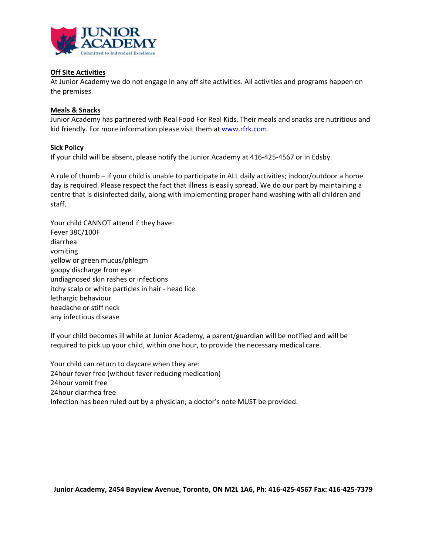

# **Off Site Activities**

At Junior Academy we do not engage in any off site activities. All activities and programs happen on the premises.

# **Meals & Snacks**

Junior Academy has partnered with Real Food For Real Kids. Their meals and snacks are nutritious and kid friendly. For more information please visit them at [www.rfrk.com.](http://www.rfrk.com/)

# **Sick Policy**

If your child will be absent, please notify the Junior Academy at 416-425-4567 or in Edsby.

A rule of thumb – if your child is unable to participate in ALL daily activities; indoor/outdoor a home day is required. Please respect the fact that illness is easily spread. We do our part by maintaining a centre that is disinfected daily, along with implementing proper hand washing with all children and staff.

Your child CANNOT attend if they have: Fever 38C/100F diarrhea vomiting yellow or green mucus/phlegm goopy discharge from eye undiagnosed skin rashes or infections itchy scalp or white particles in hair - head lice lethargic behaviour headache or stiff neck any infectious disease

If your child becomes ill while at Junior Academy, a parent/guardian will be notified and will be required to pick up your child, within one hour, to provide the necessary medical care.

Your child can return to daycare when they are: 24hour fever free (without fever reducing medication) 24hour vomit free 24hour diarrhea free Infection has been ruled out by a physician; a doctor's note MUST be provided.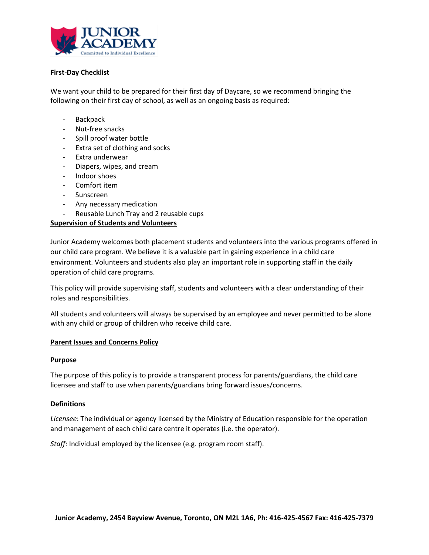

# **First-Day Checklist**

We want your child to be prepared for their first day of Daycare, so we recommend bringing the following on their first day of school, as well as an ongoing basis as required:

- Backpack
- Nut-free snacks
- Spill proof water bottle
- Extra set of clothing and socks
- Extra underwear
- Diapers, wipes, and cream
- Indoor shoes
- Comfort item
- Sunscreen
- Any necessary medication
- Reusable Lunch Tray and 2 reusable cups

#### **Supervision of Students and Volunteers**

Junior Academy welcomes both placement students and volunteers into the various programs offered in our child care program. We believe it is a valuable part in gaining experience in a child care environment. Volunteers and students also play an important role in supporting staff in the daily operation of child care programs.

This policy will provide supervising staff, students and volunteers with a clear understanding of their roles and responsibilities.

All students and volunteers will always be supervised by an employee and never permitted to be alone with any child or group of children who receive child care.

#### **Parent Issues and Concerns Policy**

#### **Purpose**

The purpose of this policy is to provide a transparent process for parents/guardians, the child care licensee and staff to use when parents/guardians bring forward issues/concerns.

#### **Definitions**

*Licensee*: The individual or agency licensed by the Ministry of Education responsible for the operation and management of each child care centre it operates (i.e. the operator).

*Staff*: Individual employed by the licensee (e.g. program room staff).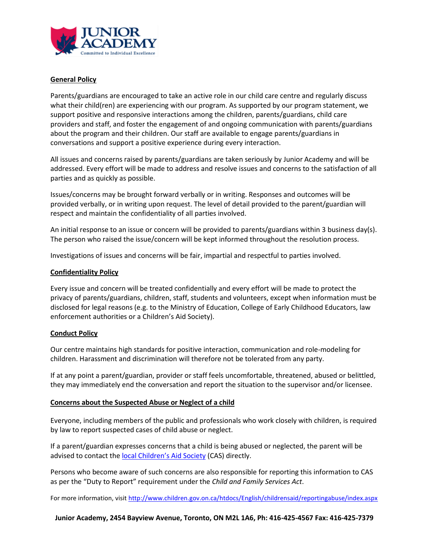

# **General Policy**

Parents/guardians are encouraged to take an active role in our child care centre and regularly discuss what their child(ren) are experiencing with our program. As supported by our program statement, we support positive and responsive interactions among the children, parents/guardians, child care providers and staff, and foster the engagement of and ongoing communication with parents/guardians about the program and their children. Our staff are available to engage parents/guardians in conversations and support a positive experience during every interaction.

All issues and concerns raised by parents/guardians are taken seriously by Junior Academy and will be addressed. Every effort will be made to address and resolve issues and concerns to the satisfaction of all parties and as quickly as possible.

Issues/concerns may be brought forward verbally or in writing. Responses and outcomes will be provided verbally, or in writing upon request. The level of detail provided to the parent/guardian will respect and maintain the confidentiality of all parties involved.

An initial response to an issue or concern will be provided to parents/guardians within 3 business day(s). The person who raised the issue/concern will be kept informed throughout the resolution process.

Investigations of issues and concerns will be fair, impartial and respectful to parties involved.

# **Confidentiality Policy**

Every issue and concern will be treated confidentially and every effort will be made to protect the privacy of parents/guardians, children, staff, students and volunteers, except when information must be disclosed for legal reasons (e.g. to the Ministry of Education, College of Early Childhood Educators, law enforcement authorities or a Children's Aid Society).

# **Conduct Policy**

Our centre maintains high standards for positive interaction, communication and role-modeling for children. Harassment and discrimination will therefore not be tolerated from any party.

If at any point a parent/guardian, provider or staff feels uncomfortable, threatened, abused or belittled, they may immediately end the conversation and report the situation to the supervisor and/or licensee.

# **Concerns about the Suspected Abuse or Neglect of a child**

Everyone, including members of the public and professionals who work closely with children, is required by law to report suspected cases of child abuse or neglect.

If a parent/guardian expresses concerns that a child is being abused or neglected, the parent will be advised to contact the [local Children's Aid Society](http://www.children.gov.on.ca/htdocs/English/childrensaid/reportingabuse/CASLocations.aspx) (CAS) directly.

Persons who become aware of such concerns are also responsible for reporting this information to CAS as per the "Duty to Report" requirement under the *Child and Family Services Act*.

For more information, visit<http://www.children.gov.on.ca/htdocs/English/childrensaid/reportingabuse/index.aspx>

**Junior Academy, 2454 Bayview Avenue, Toronto, ON M2L 1A6, Ph: 416-425-4567 Fax: 416-425-7379**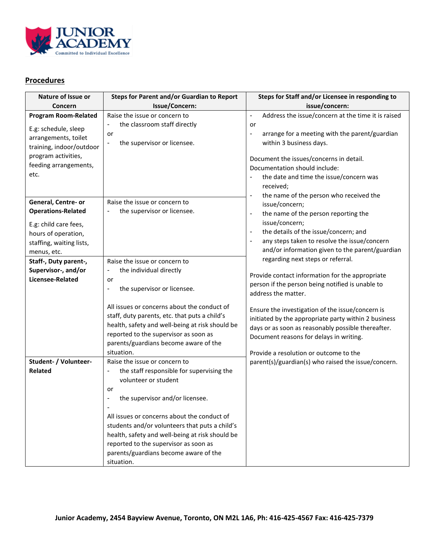

# **Procedures**

| <b>Steps for Parent and/or Guardian to Report</b>                                                                                                                                                                                                                                                                                                                                                            | Steps for Staff and/or Licensee in responding to                                                                                                                                                                                                                                                |
|--------------------------------------------------------------------------------------------------------------------------------------------------------------------------------------------------------------------------------------------------------------------------------------------------------------------------------------------------------------------------------------------------------------|-------------------------------------------------------------------------------------------------------------------------------------------------------------------------------------------------------------------------------------------------------------------------------------------------|
| Issue/Concern:                                                                                                                                                                                                                                                                                                                                                                                               | issue/concern:                                                                                                                                                                                                                                                                                  |
| Raise the issue or concern to                                                                                                                                                                                                                                                                                                                                                                                | Address the issue/concern at the time it is raised<br>$\blacksquare$                                                                                                                                                                                                                            |
| the classroom staff directly<br>$\qquad \qquad \blacksquare$<br>or<br>the supervisor or licensee.<br>$\qquad \qquad \blacksquare$                                                                                                                                                                                                                                                                            | or<br>arrange for a meeting with the parent/guardian<br>-<br>within 3 business days.<br>Document the issues/concerns in detail.<br>Documentation should include:<br>the date and time the issue/concern was<br>received;<br>the name of the person who received the<br>$\overline{\phantom{a}}$ |
| Raise the issue or concern to                                                                                                                                                                                                                                                                                                                                                                                | issue/concern;                                                                                                                                                                                                                                                                                  |
|                                                                                                                                                                                                                                                                                                                                                                                                              | the name of the person reporting the<br>$\overline{\phantom{a}}$                                                                                                                                                                                                                                |
|                                                                                                                                                                                                                                                                                                                                                                                                              | issue/concern;<br>the details of the issue/concern; and<br>$\blacksquare$<br>any steps taken to resolve the issue/concern<br>and/or information given to the parent/guardian                                                                                                                    |
| Raise the issue or concern to                                                                                                                                                                                                                                                                                                                                                                                | regarding next steps or referral.                                                                                                                                                                                                                                                               |
| the individual directly<br>۰                                                                                                                                                                                                                                                                                                                                                                                 | Provide contact information for the appropriate                                                                                                                                                                                                                                                 |
| or<br>the supervisor or licensee.<br>$\overline{a}$                                                                                                                                                                                                                                                                                                                                                          | person if the person being notified is unable to<br>address the matter.                                                                                                                                                                                                                         |
| All issues or concerns about the conduct of<br>staff, duty parents, etc. that puts a child's<br>health, safety and well-being at risk should be<br>reported to the supervisor as soon as<br>parents/guardians become aware of the<br>situation.                                                                                                                                                              | Ensure the investigation of the issue/concern is<br>initiated by the appropriate party within 2 business<br>days or as soon as reasonably possible thereafter.<br>Document reasons for delays in writing.<br>Provide a resolution or outcome to the                                             |
| Raise the issue or concern to                                                                                                                                                                                                                                                                                                                                                                                | parent(s)/guardian(s) who raised the issue/concern.                                                                                                                                                                                                                                             |
| the staff responsible for supervising the<br>$\overline{\phantom{a}}$<br>volunteer or student<br>or<br>the supervisor and/or licensee.<br>$\qquad \qquad \blacksquare$<br>All issues or concerns about the conduct of<br>students and/or volunteers that puts a child's<br>health, safety and well-being at risk should be<br>reported to the supervisor as soon as<br>parents/guardians become aware of the |                                                                                                                                                                                                                                                                                                 |
|                                                                                                                                                                                                                                                                                                                                                                                                              | the supervisor or licensee.<br>situation.                                                                                                                                                                                                                                                       |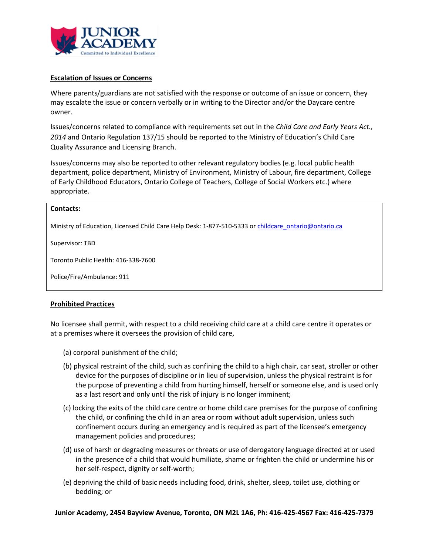

#### **Escalation of Issues or Concerns**

Where parents/guardians are not satisfied with the response or outcome of an issue or concern, they may escalate the issue or concern verbally or in writing to the Director and/or the Daycare centre owner.

Issues/concerns related to compliance with requirements set out in the *Child Care and Early Years Act., 2014* and Ontario Regulation 137/15 should be reported to the Ministry of Education's Child Care Quality Assurance and Licensing Branch.

Issues/concerns may also be reported to other relevant regulatory bodies (e.g. local public health department, police department, Ministry of Environment, Ministry of Labour, fire department, College of Early Childhood Educators, Ontario College of Teachers, College of Social Workers etc.) where appropriate.

# **Contacts:**  Ministry of Education, Licensed Child Care Help Desk: 1-877-510-5333 or childcare\_ontario@ontario.ca

Supervisor: TBD

Toronto Public Health: 416-338-7600

Police/Fire/Ambulance: 911

# **Prohibited Practices**

No licensee shall permit, with respect to a child receiving child care at a child care centre it operates or at a premises where it oversees the provision of child care,

- (a) corporal punishment of the child;
- (b) physical restraint of the child, such as confining the child to a high chair, car seat, stroller or other device for the purposes of discipline or in lieu of supervision, unless the physical restraint is for the purpose of preventing a child from hurting himself, herself or someone else, and is used only as a last resort and only until the risk of injury is no longer imminent;
- (c) locking the exits of the child care centre or home child care premises for the purpose of confining the child, or confining the child in an area or room without adult supervision, unless such confinement occurs during an emergency and is required as part of the licensee's emergency management policies and procedures;
- (d) use of harsh or degrading measures or threats or use of derogatory language directed at or used in the presence of a child that would humiliate, shame or frighten the child or undermine his or her self-respect, dignity or self-worth;
- (e) depriving the child of basic needs including food, drink, shelter, sleep, toilet use, clothing or bedding; or